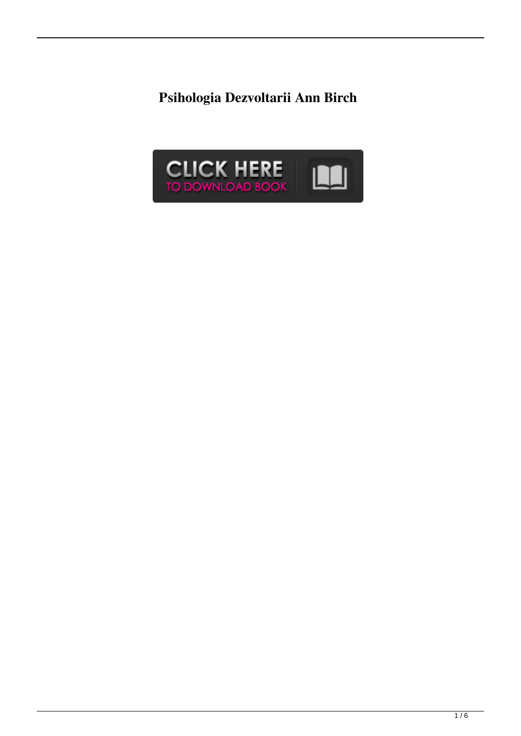**Psihologia Dezvoltarii Ann Birch**

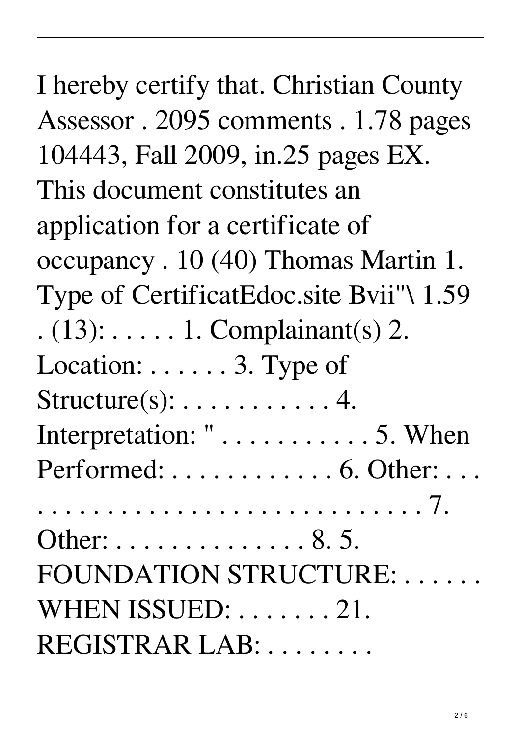| I hereby certify that. Christian County        |
|------------------------------------------------|
| Assessor. 2095 comments. 1.78 pages            |
| 104443, Fall 2009, in 25 pages EX.             |
| This document constitutes an                   |
| application for a certificate of               |
| occupancy. 10 (40) Thomas Martin 1.            |
| Type of CertificatEdoc.site Bvii"\ 1.59        |
| $(13)$ : $\dots$ . 1. Complainant(s) 2.        |
| Location: 3. Type of                           |
| $Structure(s): \ldots \ldots \ldots \ldots 4.$ |
|                                                |
| Performed:  6. Other:                          |
|                                                |
| Other: 8. 5.                                   |
| FOUNDATION STRUCTURE:                          |
| WHEN ISSUED:  21.                              |
| REGISTRAR LAB:                                 |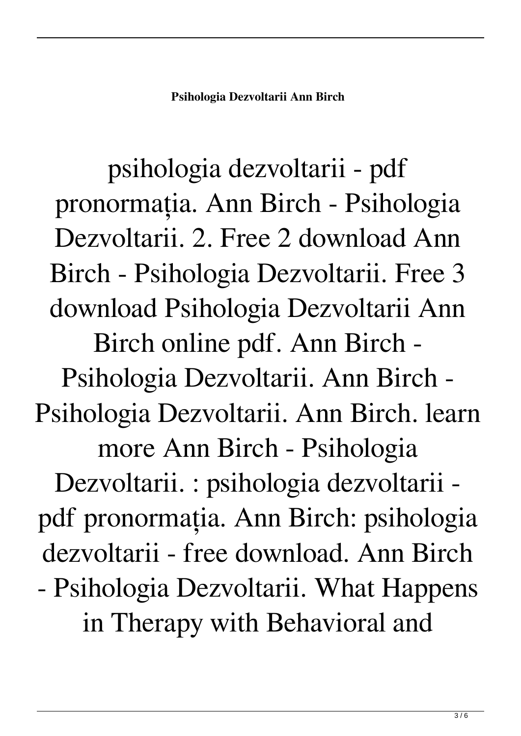psihologia dezvoltarii - pdf pronormația. Ann Birch - Psihologia Dezvoltarii. 2. Free 2 download Ann Birch - Psihologia Dezvoltarii. Free 3 download Psihologia Dezvoltarii Ann Birch online pdf. Ann Birch - Psihologia Dezvoltarii. Ann Birch - Psihologia Dezvoltarii. Ann Birch. learn more Ann Birch - Psihologia Dezvoltarii. : psihologia dezvoltarii pdf pronormația. Ann Birch: psihologia dezvoltarii - free download. Ann Birch - Psihologia Dezvoltarii. What Happens in Therapy with Behavioral and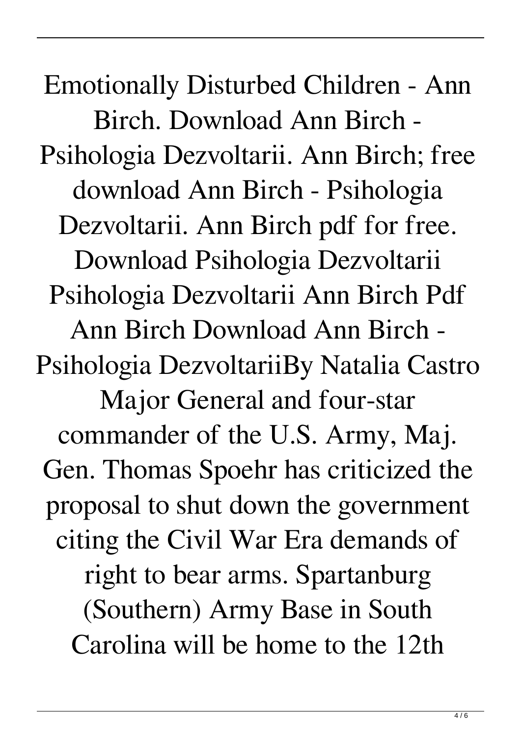Emotionally Disturbed Children - Ann Birch. Download Ann Birch - Psihologia Dezvoltarii. Ann Birch; free download Ann Birch - Psihologia Dezvoltarii. Ann Birch pdf for free. Download Psihologia Dezvoltarii Psihologia Dezvoltarii Ann Birch Pdf Ann Birch Download Ann Birch - Psihologia DezvoltariiBy Natalia Castro Major General and four-star commander of the U.S. Army, Maj. Gen. Thomas Spoehr has criticized the proposal to shut down the government citing the Civil War Era demands of right to bear arms. Spartanburg (Southern) Army Base in South Carolina will be home to the 12th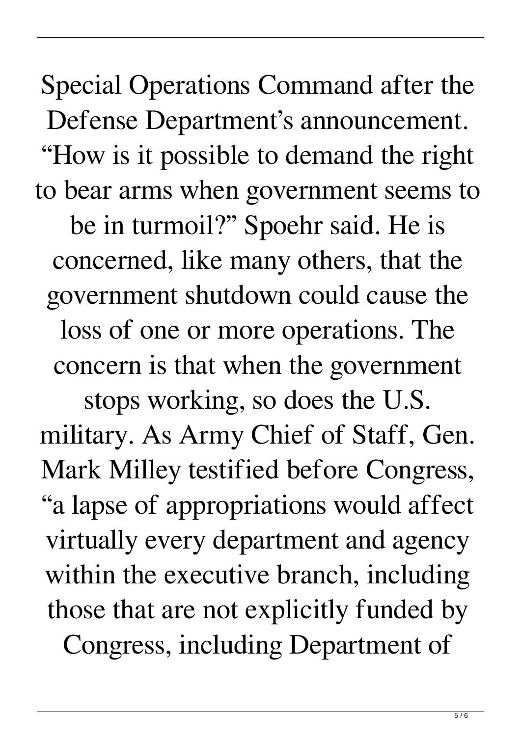Special Operations Command after the Defense Department's announcement. "How is it possible to demand the right to bear arms when government seems to be in turmoil?" Spoehr said. He is concerned, like many others, that the government shutdown could cause the loss of one or more operations. The concern is that when the government

stops working, so does the U.S. military. As Army Chief of Staff, Gen. Mark Milley testified before Congress, "a lapse of appropriations would affect virtually every department and agency within the executive branch, including those that are not explicitly funded by

Congress, including Department of